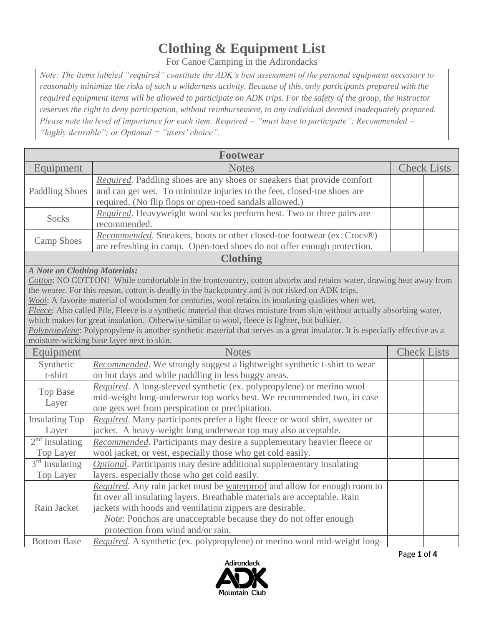## **Clothing & Equipment List**

For Canoe Camping in the Adirondacks

*Note: The items labeled "required" constitute the ADK's best assessment of the personal equipment necessary to reasonably minimize the risks of such a wilderness activity. Because of this, only participants prepared with the required equipment items will be allowed to participate on ADK trips. For the safety of the group, the instructor reserves the right to deny participation, without reimbursement, to any individual deemed inadequately prepared. Please note the level of importance for each item: Required = "must have to participate"; Recommended = "highly desirable"; or Optional = "users' choice".*

| <b>Footwear</b>                                                                                                                                                                                                                                                                                                                                                                                                                                                                                                                                                                                                                                                                                                                                                                 |                                                                                                                                                                                                                                                                                        |                    |  |
|---------------------------------------------------------------------------------------------------------------------------------------------------------------------------------------------------------------------------------------------------------------------------------------------------------------------------------------------------------------------------------------------------------------------------------------------------------------------------------------------------------------------------------------------------------------------------------------------------------------------------------------------------------------------------------------------------------------------------------------------------------------------------------|----------------------------------------------------------------------------------------------------------------------------------------------------------------------------------------------------------------------------------------------------------------------------------------|--------------------|--|
| Equipment                                                                                                                                                                                                                                                                                                                                                                                                                                                                                                                                                                                                                                                                                                                                                                       | <b>Notes</b>                                                                                                                                                                                                                                                                           | <b>Check Lists</b> |  |
| <b>Paddling Shoes</b>                                                                                                                                                                                                                                                                                                                                                                                                                                                                                                                                                                                                                                                                                                                                                           | Required. Paddling shoes are any shoes or sneakers that provide comfort<br>and can get wet. To minimize injuries to the feet, closed-toe shoes are<br>required. (No flip flops or open-toed sandals allowed.)                                                                          |                    |  |
| Socks                                                                                                                                                                                                                                                                                                                                                                                                                                                                                                                                                                                                                                                                                                                                                                           | Required. Heavyweight wool socks perform best. Two or three pairs are<br>recommended.                                                                                                                                                                                                  |                    |  |
| <b>Camp Shoes</b>                                                                                                                                                                                                                                                                                                                                                                                                                                                                                                                                                                                                                                                                                                                                                               | Recommended. Sneakers, boots or other closed-toe footwear (ex. Crocs®)<br>are refreshing in camp. Open-toed shoes do not offer enough protection.                                                                                                                                      |                    |  |
|                                                                                                                                                                                                                                                                                                                                                                                                                                                                                                                                                                                                                                                                                                                                                                                 | <b>Clothing</b>                                                                                                                                                                                                                                                                        |                    |  |
| <b>A Note on Clothing Materials:</b><br>Cotton: NO COTTON! While comfortable in the frontcountry, cotton absorbs and retains water, drawing heat away from<br>the wearer. For this reason, cotton is deadly in the backcountry and is not risked on ADK trips.<br>Wool: A favorite material of woodsmen for centuries, wool retains its insulating qualities when wet.<br>Fleece: Also called Pile, Fleece is a synthetic material that draws moisture from skin without actually absorbing water,<br>which makes for great insulation. Otherwise similar to wool, fleece is lighter, but bulkier.<br>Polypropylene: Polypropylene is another synthetic material that serves as a great insulator. It is especially effective as a<br>moisture-wicking base layer next to skin. |                                                                                                                                                                                                                                                                                        |                    |  |
| Equipment                                                                                                                                                                                                                                                                                                                                                                                                                                                                                                                                                                                                                                                                                                                                                                       | <b>Notes</b><br><b>Check Lists</b>                                                                                                                                                                                                                                                     |                    |  |
| Synthetic<br>t-shirt                                                                                                                                                                                                                                                                                                                                                                                                                                                                                                                                                                                                                                                                                                                                                            | Recommended. We strongly suggest a lightweight synthetic t-shirt to wear<br>on hot days and while paddling in less buggy areas.                                                                                                                                                        |                    |  |
| <b>Top Base</b><br>Layer                                                                                                                                                                                                                                                                                                                                                                                                                                                                                                                                                                                                                                                                                                                                                        | Required. A long-sleeved synthetic (ex. polypropylene) or merino wool<br>mid-weight long-underwear top works best. We recommended two, in case<br>one gets wet from perspiration or precipitation.                                                                                     |                    |  |
| <b>Insulating Top</b><br>Layer                                                                                                                                                                                                                                                                                                                                                                                                                                                                                                                                                                                                                                                                                                                                                  | Required. Many participants prefer a light fleece or wool shirt, sweater or<br>jacket. A heavy-weight long underwear top may also acceptable.                                                                                                                                          |                    |  |
| $2nd$ Insulating<br><b>Top Layer</b>                                                                                                                                                                                                                                                                                                                                                                                                                                                                                                                                                                                                                                                                                                                                            | Recommended. Participants may desire a supplementary heavier fleece or<br>wool jacket, or vest, especially those who get cold easily.                                                                                                                                                  |                    |  |
| $3rd$ Insulating                                                                                                                                                                                                                                                                                                                                                                                                                                                                                                                                                                                                                                                                                                                                                                | Optional. Participants may desire additional supplementary insulating                                                                                                                                                                                                                  |                    |  |
| Top Layer                                                                                                                                                                                                                                                                                                                                                                                                                                                                                                                                                                                                                                                                                                                                                                       | layers, especially those who get cold easily.                                                                                                                                                                                                                                          |                    |  |
| Rain Jacket                                                                                                                                                                                                                                                                                                                                                                                                                                                                                                                                                                                                                                                                                                                                                                     | Required. Any rain jacket must be waterproof and allow for enough room to<br>fit over all insulating layers. Breathable materials are acceptable. Rain<br>jackets with hoods and ventilation zippers are desirable.<br>Note: Ponchos are unacceptable because they do not offer enough |                    |  |
|                                                                                                                                                                                                                                                                                                                                                                                                                                                                                                                                                                                                                                                                                                                                                                                 | protection from wind and/or rain.                                                                                                                                                                                                                                                      |                    |  |

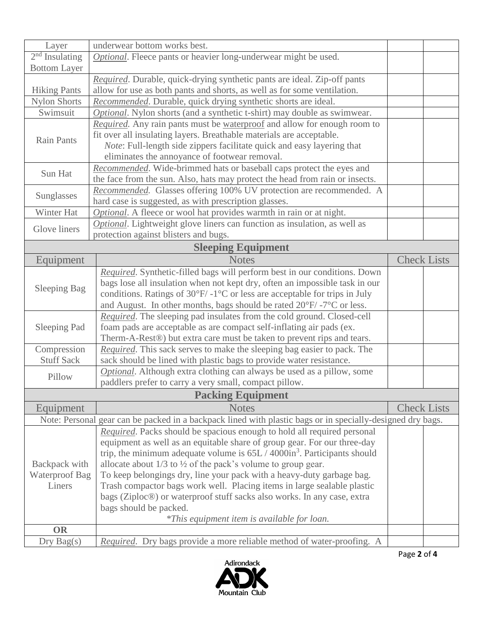| Layer                 | underwear bottom works best.                                                                                                                                                          |  |                    |
|-----------------------|---------------------------------------------------------------------------------------------------------------------------------------------------------------------------------------|--|--------------------|
| $2nd$ Insulating      | Optional. Fleece pants or heavier long-underwear might be used.                                                                                                                       |  |                    |
| <b>Bottom Layer</b>   |                                                                                                                                                                                       |  |                    |
|                       | Required. Durable, quick-drying synthetic pants are ideal. Zip-off pants                                                                                                              |  |                    |
| <b>Hiking Pants</b>   | allow for use as both pants and shorts, as well as for some ventilation.                                                                                                              |  |                    |
| <b>Nylon Shorts</b>   | Recommended. Durable, quick drying synthetic shorts are ideal.                                                                                                                        |  |                    |
| Swimsuit              | Optional. Nylon shorts (and a synthetic t-shirt) may double as swimwear.                                                                                                              |  |                    |
|                       | Required. Any rain pants must be waterproof and allow for enough room to                                                                                                              |  |                    |
| <b>Rain Pants</b>     | fit over all insulating layers. Breathable materials are acceptable.<br>Note: Full-length side zippers facilitate quick and easy layering that                                        |  |                    |
|                       | eliminates the annoyance of footwear removal.                                                                                                                                         |  |                    |
|                       | Recommended. Wide-brimmed hats or baseball caps protect the eyes and                                                                                                                  |  |                    |
| Sun Hat               | the face from the sun. Also, hats may protect the head from rain or insects.                                                                                                          |  |                    |
|                       | Recommended. Glasses offering 100% UV protection are recommended. A                                                                                                                   |  |                    |
| Sunglasses            | hard case is suggested, as with prescription glasses.                                                                                                                                 |  |                    |
| Winter Hat            | Optional. A fleece or wool hat provides warmth in rain or at night.                                                                                                                   |  |                    |
|                       | Optional. Lightweight glove liners can function as insulation, as well as                                                                                                             |  |                    |
| Glove liners          | protection against blisters and bugs.                                                                                                                                                 |  |                    |
|                       | <b>Sleeping Equipment</b>                                                                                                                                                             |  |                    |
| Equipment             | <b>Notes</b>                                                                                                                                                                          |  | <b>Check Lists</b> |
|                       | Required. Synthetic-filled bags will perform best in our conditions. Down                                                                                                             |  |                    |
|                       | bags lose all insulation when not kept dry, often an impossible task in our                                                                                                           |  |                    |
| <b>Sleeping Bag</b>   | conditions. Ratings of 30°F/-1°C or less are acceptable for trips in July                                                                                                             |  |                    |
|                       | and August. In other months, bags should be rated $20^{\circ}$ F/-7 $^{\circ}$ C or less.                                                                                             |  |                    |
|                       | Required. The sleeping pad insulates from the cold ground. Closed-cell                                                                                                                |  |                    |
| Sleeping Pad          | foam pads are acceptable as are compact self-inflating air pads (ex.                                                                                                                  |  |                    |
|                       | Therm-A-Rest®) but extra care must be taken to prevent rips and tears.                                                                                                                |  |                    |
| Compression           | Required. This sack serves to make the sleeping bag easier to pack. The                                                                                                               |  |                    |
| <b>Stuff Sack</b>     | sack should be lined with plastic bags to provide water resistance.                                                                                                                   |  |                    |
| Pillow                | Optional. Although extra clothing can always be used as a pillow, some                                                                                                                |  |                    |
|                       | paddlers prefer to carry a very small, compact pillow.                                                                                                                                |  |                    |
|                       | <b>Packing Equipment</b>                                                                                                                                                              |  | <b>Check Lists</b> |
|                       | <b>Notes</b><br>Equipment                                                                                                                                                             |  |                    |
|                       | Note: Personal gear can be packed in a backpack lined with plastic bags or in specially-designed dry bags.<br>Required. Packs should be spacious enough to hold all required personal |  |                    |
|                       | equipment as well as an equitable share of group gear. For our three-day                                                                                                              |  |                    |
|                       | trip, the minimum adequate volume is $65L / 4000$ in <sup>3</sup> . Participants should                                                                                               |  |                    |
| Backpack with         | allocate about $1/3$ to $\frac{1}{2}$ of the pack's volume to group gear.                                                                                                             |  |                    |
| <b>Waterproof Bag</b> | To keep belongings dry, line your pack with a heavy-duty garbage bag.                                                                                                                 |  |                    |
| Liners                | Trash compactor bags work well. Placing items in large sealable plastic                                                                                                               |  |                    |
|                       | bags (Ziploc®) or waterproof stuff sacks also works. In any case, extra                                                                                                               |  |                    |
|                       | bags should be packed.                                                                                                                                                                |  |                    |
|                       | *This equipment item is available for loan.                                                                                                                                           |  |                    |
| <b>OR</b>             |                                                                                                                                                                                       |  |                    |
| $_{\rm Dry~Bag(s)}$   | Required. Dry bags provide a more reliable method of water-proofing. A                                                                                                                |  |                    |

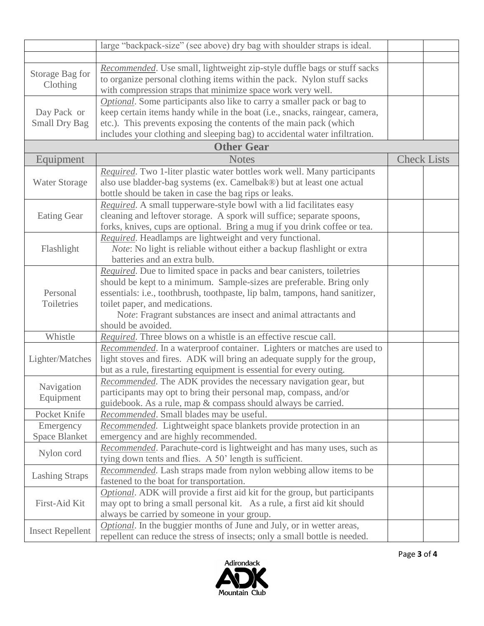|                                     | large "backpack-size" (see above) dry bag with shoulder straps is ideal.                                                                                                                                                                                                                                                                                  |  |                    |
|-------------------------------------|-----------------------------------------------------------------------------------------------------------------------------------------------------------------------------------------------------------------------------------------------------------------------------------------------------------------------------------------------------------|--|--------------------|
|                                     |                                                                                                                                                                                                                                                                                                                                                           |  |                    |
| Storage Bag for<br>Clothing         | Recommended. Use small, lightweight zip-style duffle bags or stuff sacks<br>to organize personal clothing items within the pack. Nylon stuff sacks<br>with compression straps that minimize space work very well.                                                                                                                                         |  |                    |
| Day Pack or<br><b>Small Dry Bag</b> | Optional. Some participants also like to carry a smaller pack or bag to<br>keep certain items handy while in the boat (i.e., snacks, raingear, camera,<br>etc.). This prevents exposing the contents of the main pack (which<br>includes your clothing and sleeping bag) to accidental water infiltration.                                                |  |                    |
|                                     | <b>Other Gear</b>                                                                                                                                                                                                                                                                                                                                         |  |                    |
| Equipment                           | <b>Notes</b>                                                                                                                                                                                                                                                                                                                                              |  | <b>Check Lists</b> |
| <b>Water Storage</b>                | Required. Two 1-liter plastic water bottles work well. Many participants<br>also use bladder-bag systems (ex. Camelbak®) but at least one actual<br>bottle should be taken in case the bag rips or leaks.                                                                                                                                                 |  |                    |
| <b>Eating Gear</b>                  | Required. A small tupperware-style bowl with a lid facilitates easy<br>cleaning and leftover storage. A spork will suffice; separate spoons,<br>forks, knives, cups are optional. Bring a mug if you drink coffee or tea.                                                                                                                                 |  |                    |
| Flashlight                          | Required. Headlamps are lightweight and very functional.<br>Note: No light is reliable without either a backup flashlight or extra<br>batteries and an extra bulb.                                                                                                                                                                                        |  |                    |
| Personal<br>Toiletries              | Required. Due to limited space in packs and bear canisters, toiletries<br>should be kept to a minimum. Sample-sizes are preferable. Bring only<br>essentials: i.e., toothbrush, toothpaste, lip balm, tampons, hand sanitizer,<br>toilet paper, and medications.<br>Note: Fragrant substances are insect and animal attractants and<br>should be avoided. |  |                    |
| Whistle                             | Required. Three blows on a whistle is an effective rescue call.                                                                                                                                                                                                                                                                                           |  |                    |
| Lighter/Matches                     | Recommended. In a waterproof container. Lighters or matches are used to<br>light stoves and fires. ADK will bring an adequate supply for the group,<br>but as a rule, firestarting equipment is essential for every outing.                                                                                                                               |  |                    |
| Navigation<br>Equipment             | Recommended. The ADK provides the necessary navigation gear, but<br>participants may opt to bring their personal map, compass, and/or<br>guidebook. As a rule, map & compass should always be carried.                                                                                                                                                    |  |                    |
| Pocket Knife                        | Recommended. Small blades may be useful.                                                                                                                                                                                                                                                                                                                  |  |                    |
| Emergency<br><b>Space Blanket</b>   | Recommended. Lightweight space blankets provide protection in an<br>emergency and are highly recommended.                                                                                                                                                                                                                                                 |  |                    |
| Nylon cord                          | Recommended. Parachute-cord is lightweight and has many uses, such as<br>tying down tents and flies. A 50' length is sufficient.                                                                                                                                                                                                                          |  |                    |
| <b>Lashing Straps</b>               | Recommended. Lash straps made from nylon webbing allow items to be<br>fastened to the boat for transportation.                                                                                                                                                                                                                                            |  |                    |
| First-Aid Kit                       | Optional. ADK will provide a first aid kit for the group, but participants<br>may opt to bring a small personal kit. As a rule, a first aid kit should<br>always be carried by someone in your group.                                                                                                                                                     |  |                    |
| <b>Insect Repellent</b>             | Optional. In the buggier months of June and July, or in wetter areas,<br>repellent can reduce the stress of insects; only a small bottle is needed.                                                                                                                                                                                                       |  |                    |